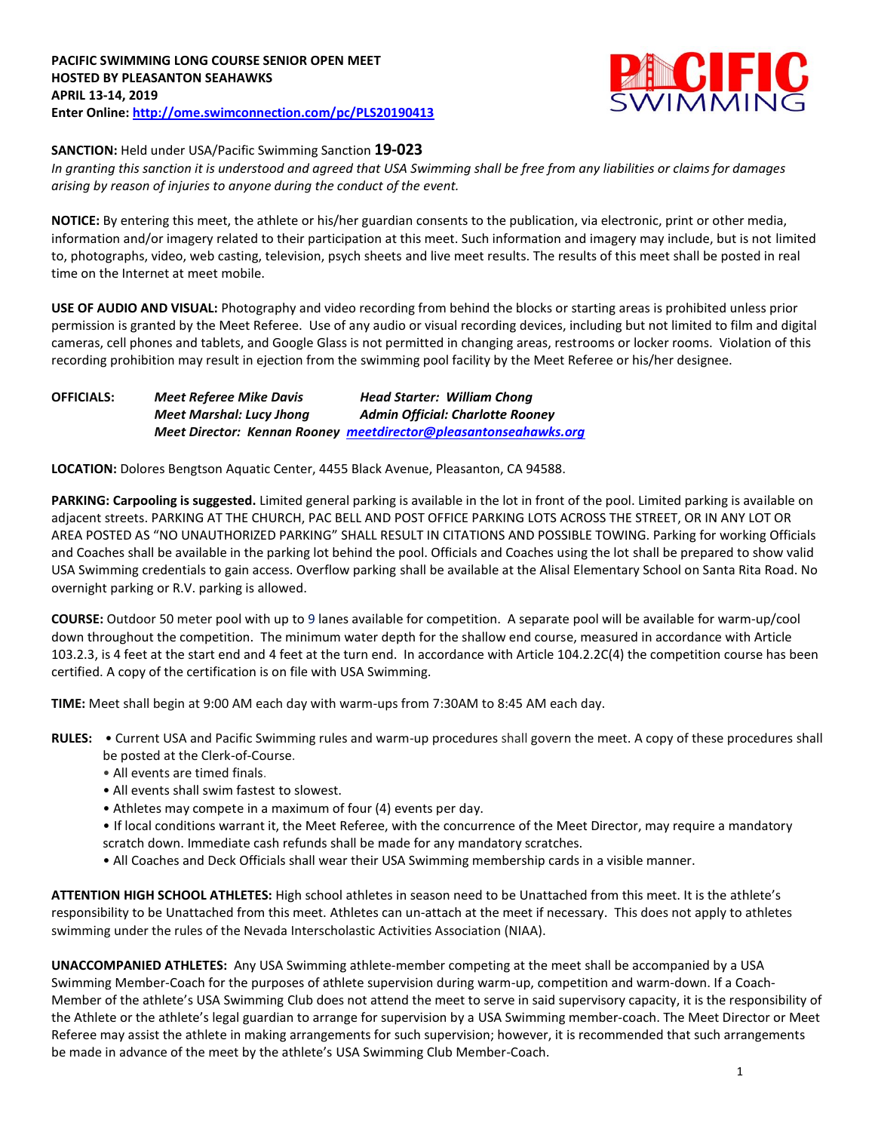

## **SANCTION:** Held under USA/Pacific Swimming Sanction **19-023**

*In granting this sanction it is understood and agreed that USA Swimming shall be free from any liabilities or claims for damages arising by reason of injuries to anyone during the conduct of the event.* 

**NOTICE:** By entering this meet, the athlete or his/her guardian consents to the publication, via electronic, print or other media, information and/or imagery related to their participation at this meet. Such information and imagery may include, but is not limited to, photographs, video, web casting, television, psych sheets and live meet results. The results of this meet shall be posted in real time on the Internet at meet mobile.

**USE OF AUDIO AND VISUAL:** Photography and video recording from behind the blocks or starting areas is prohibited unless prior permission is granted by the Meet Referee. Use of any audio or visual recording devices, including but not limited to film and digital cameras, cell phones and tablets, and Google Glass is not permitted in changing areas, restrooms or locker rooms. Violation of this recording prohibition may result in ejection from the swimming pool facility by the Meet Referee or his/her designee.

**OFFICIALS:** *Meet Referee Mike Davis Head Starter: William Chong Meet Marshal: Lucy Jhong Admin Official: Charlotte Rooney Meet Director: Kennan Rooney [meetdirector@pleasantonseahawks.org](mailto:meetdirector@pleasantonseahawks.org)*

**LOCATION:** Dolores Bengtson Aquatic Center, 4455 Black Avenue, Pleasanton, CA 94588.

**PARKING: Carpooling is suggested.** Limited general parking is available in the lot in front of the pool. Limited parking is available on adjacent streets. PARKING AT THE CHURCH, PAC BELL AND POST OFFICE PARKING LOTS ACROSS THE STREET, OR IN ANY LOT OR AREA POSTED AS "NO UNAUTHORIZED PARKING" SHALL RESULT IN CITATIONS AND POSSIBLE TOWING. Parking for working Officials and Coaches shall be available in the parking lot behind the pool. Officials and Coaches using the lot shall be prepared to show valid USA Swimming credentials to gain access. Overflow parking shall be available at the Alisal Elementary School on Santa Rita Road. No overnight parking or R.V. parking is allowed.

**COURSE:** Outdoor 50 meter pool with up to 9 lanes available for competition. A separate pool will be available for warm-up/cool down throughout the competition. The minimum water depth for the shallow end course, measured in accordance with Article 103.2.3, is 4 feet at the start end and 4 feet at the turn end. In accordance with Article 104.2.2C(4) the competition course has been certified. A copy of the certification is on file with USA Swimming.

**TIME:** Meet shall begin at 9:00 AM each day with warm-ups from 7:30AM to 8:45 AM each day.

**RULES:** • Current USA and Pacific Swimming rules and warm-up procedures shall govern the meet. A copy of these procedures shall be posted at the Clerk-of-Course.

- All events are timed finals.
- All events shall swim fastest to slowest.
- Athletes may compete in a maximum of four (4) events per day.
- If local conditions warrant it, the Meet Referee, with the concurrence of the Meet Director, may require a mandatory scratch down. Immediate cash refunds shall be made for any mandatory scratches.
- All Coaches and Deck Officials shall wear their USA Swimming membership cards in a visible manner.

**ATTENTION HIGH SCHOOL ATHLETES:** High school athletes in season need to be Unattached from this meet. It is the athlete's responsibility to be Unattached from this meet. Athletes can un-attach at the meet if necessary. This does not apply to athletes swimming under the rules of the Nevada Interscholastic Activities Association (NIAA).

**UNACCOMPANIED ATHLETES:** Any USA Swimming athlete-member competing at the meet shall be accompanied by a USA Swimming Member-Coach for the purposes of athlete supervision during warm-up, competition and warm-down. If a Coach-Member of the athlete's USA Swimming Club does not attend the meet to serve in said supervisory capacity, it is the responsibility of the Athlete or the athlete's legal guardian to arrange for supervision by a USA Swimming member-coach. The Meet Director or Meet Referee may assist the athlete in making arrangements for such supervision; however, it is recommended that such arrangements be made in advance of the meet by the athlete's USA Swimming Club Member-Coach.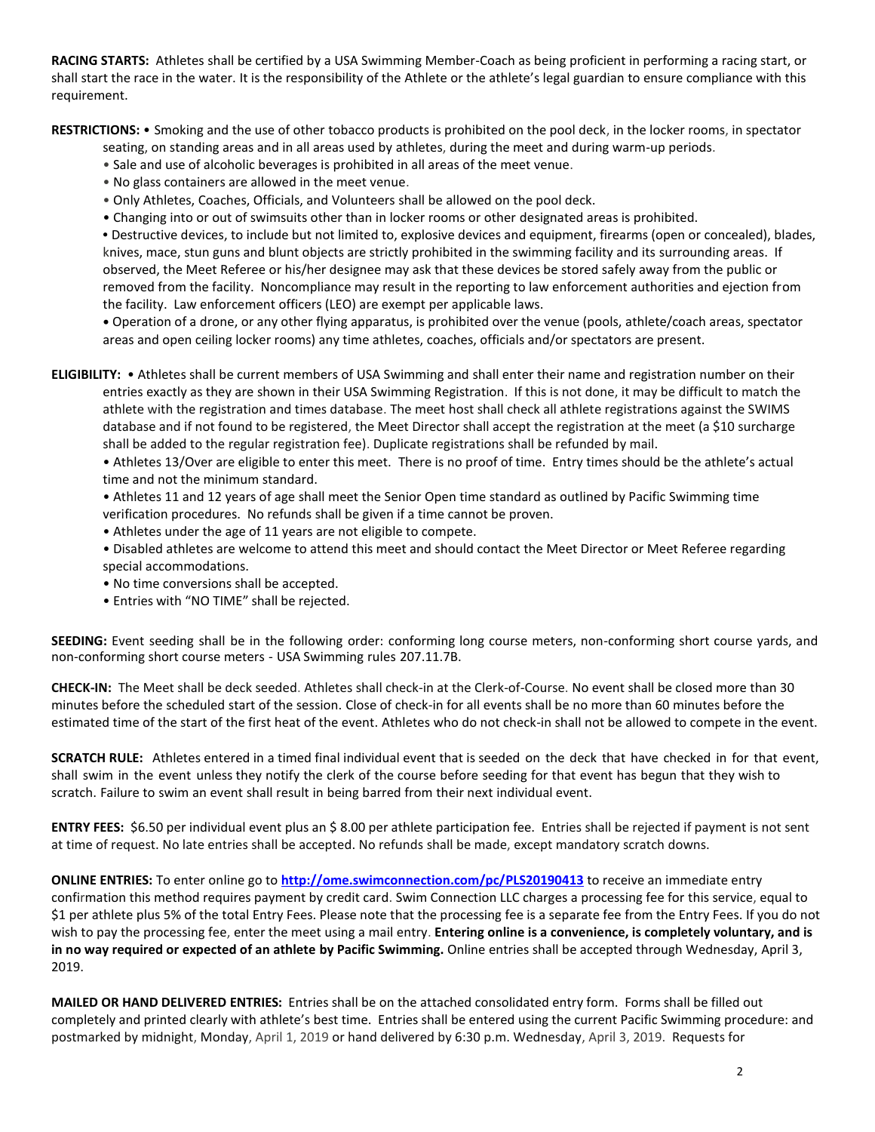**RACING STARTS:** Athletes shall be certified by a USA Swimming Member-Coach as being proficient in performing a racing start, or shall start the race in the water. It is the responsibility of the Athlete or the athlete's legal guardian to ensure compliance with this requirement.

**RESTRICTIONS:** • Smoking and the use of other tobacco products is prohibited on the pool deck, in the locker rooms, in spectator

- seating, on standing areas and in all areas used by athletes, during the meet and during warm-up periods.
- Sale and use of alcoholic beverages is prohibited in all areas of the meet venue.
- No glass containers are allowed in the meet venue.
- Only Athletes, Coaches, Officials, and Volunteers shall be allowed on the pool deck.
- Changing into or out of swimsuits other than in locker rooms or other designated areas is prohibited.

**•** Destructive devices, to include but not limited to, explosive devices and equipment, firearms (open or concealed), blades, knives, mace, stun guns and blunt objects are strictly prohibited in the swimming facility and its surrounding areas. If observed, the Meet Referee or his/her designee may ask that these devices be stored safely away from the public or removed from the facility. Noncompliance may result in the reporting to law enforcement authorities and ejection from the facility. Law enforcement officers (LEO) are exempt per applicable laws.

**•** Operation of a drone, or any other flying apparatus, is prohibited over the venue (pools, athlete/coach areas, spectator areas and open ceiling locker rooms) any time athletes, coaches, officials and/or spectators are present.

**ELIGIBILITY:** • Athletes shall be current members of USA Swimming and shall enter their name and registration number on their entries exactly as they are shown in their USA Swimming Registration. If this is not done, it may be difficult to match the athlete with the registration and times database. The meet host shall check all athlete registrations against the SWIMS database and if not found to be registered, the Meet Director shall accept the registration at the meet (a \$10 surcharge shall be added to the regular registration fee). Duplicate registrations shall be refunded by mail.

• Athletes 13/Over are eligible to enter this meet. There is no proof of time. Entry times should be the athlete's actual time and not the minimum standard.

• Athletes 11 and 12 years of age shall meet the Senior Open time standard as outlined by Pacific Swimming time verification procedures. No refunds shall be given if a time cannot be proven.

- Athletes under the age of 11 years are not eligible to compete.
- Disabled athletes are welcome to attend this meet and should contact the Meet Director or Meet Referee regarding special accommodations.
- No time conversions shall be accepted.
- Entries with "NO TIME" shall be rejected.

**SEEDING:** Event seeding shall be in the following order: conforming long course meters, non-conforming short course yards, and non-conforming short course meters - USA Swimming rules 207.11.7B.

**CHECK-IN:** The Meet shall be deck seeded. Athletes shall check-in at the Clerk-of-Course. No event shall be closed more than 30 minutes before the scheduled start of the session. Close of check‐in for all events shall be no more than 60 minutes before the estimated time of the start of the first heat of the event. Athletes who do not check-in shall not be allowed to compete in the event.

**SCRATCH RULE:** Athletes entered in a timed final individual event that is seeded on the deck that have checked in for that event, shall swim in the event unless they notify the clerk of the course before seeding for that event has begun that they wish to scratch. Failure to swim an event shall result in being barred from their next individual event.

**ENTRY FEES:** \$6.50 per individual event plus an \$ 8.00 per athlete participation fee. Entries shall be rejected if payment is not sent at time of request. No late entries shall be accepted. No refunds shall be made, except mandatory scratch downs.

**ONLINE ENTRIES:** To enter online go to **<http://ome.swimconnection.com/pc/PLS20190413>** to receive an immediate entry confirmation this method requires payment by credit card. Swim Connection LLC charges a processing fee for this service, equal to \$1 per athlete plus 5% of the total Entry Fees. Please note that the processing fee is a separate fee from the Entry Fees. If you do not wish to pay the processing fee, enter the meet using a mail entry. **Entering online is a convenience, is completely voluntary, and is in no way required or expected of an athlete by Pacific Swimming.** Online entries shall be accepted through Wednesday, April 3, 2019.

**MAILED OR HAND DELIVERED ENTRIES:** Entries shall be on the attached consolidated entry form. Forms shall be filled out completely and printed clearly with athlete's best time. Entries shall be entered using the current Pacific Swimming procedure: and postmarked by midnight, Monday, April 1, 2019 or hand delivered by 6:30 p.m. Wednesday, April 3, 2019. Requests for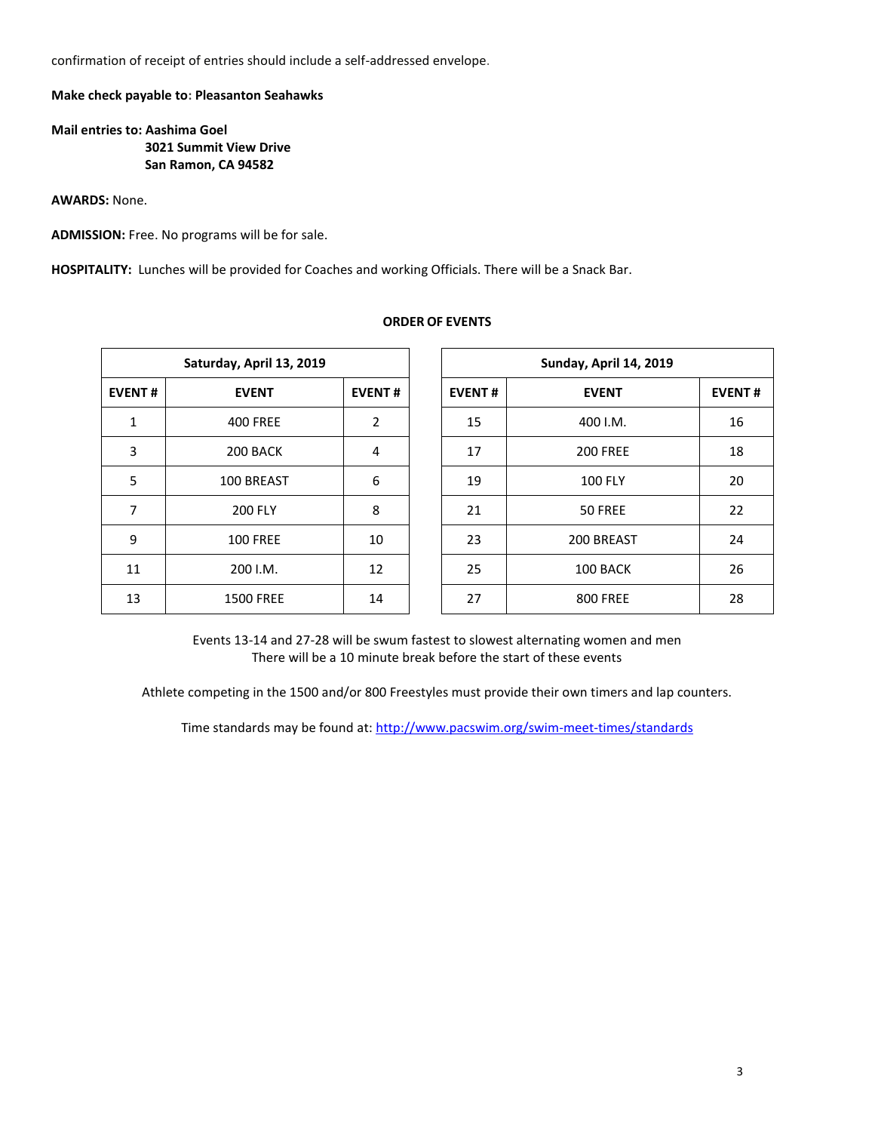confirmation of receipt of entries should include a self-addressed envelope.

## **Make check payable to: Pleasanton Seahawks**

## **Mail entries to: Aashima Goel 3021 Summit View Drive San Ramon, CA 94582**

**AWARDS:** None.

**ADMISSION:** Free. No programs will be for sale.

**HOSPITALITY:** Lunches will be provided for Coaches and working Officials. There will be a Snack Bar.

|               | Saturday, April 13, 2019 |               | Sunday, April 14, 2019 |                 |  |  |  |
|---------------|--------------------------|---------------|------------------------|-----------------|--|--|--|
| <b>EVENT#</b> | <b>EVENT</b>             | <b>EVENT#</b> | <b>EVENT#</b>          | <b>EVENT</b>    |  |  |  |
| 1             | <b>400 FREE</b>          | 2             | 15                     | 400 I.M.        |  |  |  |
| 3             | 200 BACK                 | 4             | 17                     | <b>200 FREE</b> |  |  |  |
| 5             | 100 BREAST               | 6             | 19                     | <b>100 FLY</b>  |  |  |  |
| 7             | <b>200 FLY</b>           | 8             | 21                     | 50 FREE         |  |  |  |
| 9             | <b>100 FREE</b>          | 10            | 23                     | 200 BREAST      |  |  |  |
| 11            | 200 I.M.                 | 12            | 25                     | 100 BACK        |  |  |  |
| 13            | <b>1500 FREE</b>         | 14            | 27                     | <b>800 FREE</b> |  |  |  |

**ORDER OF EVENTS**

Events 13-14 and 27-28 will be swum fastest to slowest alternating women and men There will be a 10 minute break before the start of these events

Athlete competing in the 1500 and/or 800 Freestyles must provide their own timers and lap counters.

Time standards may be found at:<http://www.pacswim.org/swim-meet-times/standards>